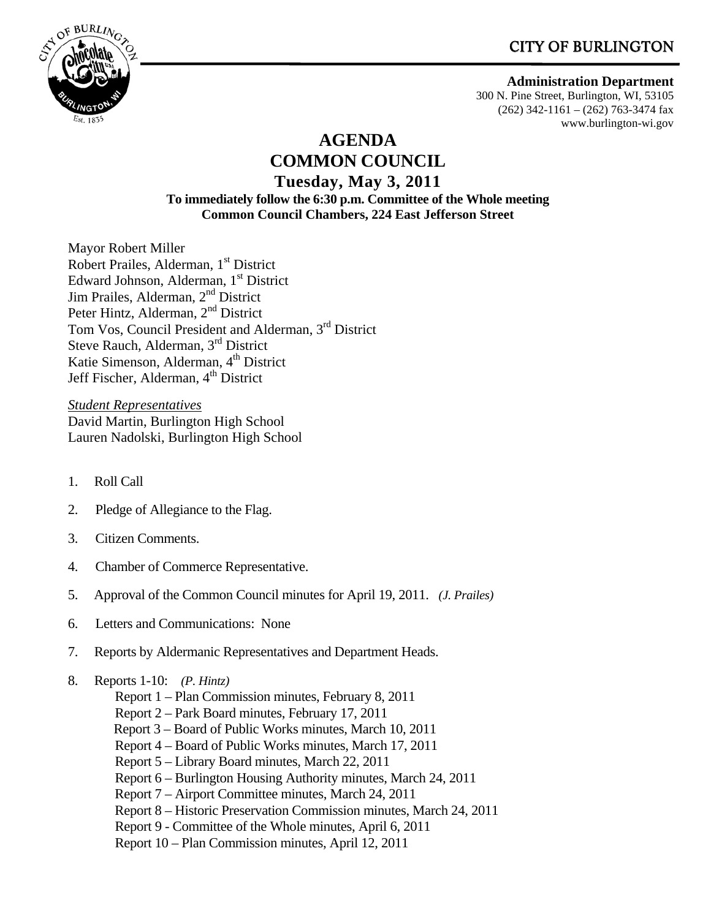# CITY OF BURLINGTON



 **Administration Department** 

300 N. Pine Street, Burlington, WI, 53105 (262) 342-1161 – (262) 763-3474 fax www.burlington-wi.gov

## **AGENDA COMMON COUNCIL Tuesday, May 3, 2011 To immediately follow the 6:30 p.m. Committee of the Whole meeting Common Council Chambers, 224 East Jefferson Street**

Mayor Robert Miller Robert Prailes, Alderman, 1<sup>st</sup> District Edward Johnson, Alderman, 1<sup>st</sup> District Jim Prailes, Alderman, 2<sup>nd</sup> District Peter Hintz, Alderman, 2nd District Tom Vos, Council President and Alderman, 3rd District Steve Rauch, Alderman, 3rd District Katie Simenson, Alderman, 4<sup>th</sup> District Jeff Fischer, Alderman, 4<sup>th</sup> District

*Student Representatives* David Martin, Burlington High School Lauren Nadolski, Burlington High School

- 1. Roll Call
- 2. Pledge of Allegiance to the Flag.
- 3. Citizen Comments.
- 4. Chamber of Commerce Representative.
- 5. Approval of the Common Council minutes for April 19, 2011. *(J. Prailes)*
- 6. Letters and Communications: None
- 7. Reports by Aldermanic Representatives and Department Heads.
- 8. Reports 1-10: *(P. Hintz)* 
	- Report 1 Plan Commission minutes, February 8, 2011
	- Report 2 Park Board minutes, February 17, 2011
	- Report 3 Board of Public Works minutes, March 10, 2011
	- Report 4 Board of Public Works minutes, March 17, 2011
	- Report 5 Library Board minutes, March 22, 2011
	- Report 6 Burlington Housing Authority minutes, March 24, 2011
	- Report 7 Airport Committee minutes, March 24, 2011
	- Report 8 Historic Preservation Commission minutes, March 24, 2011
	- Report 9 Committee of the Whole minutes, April 6, 2011
	- Report 10 Plan Commission minutes, April 12, 2011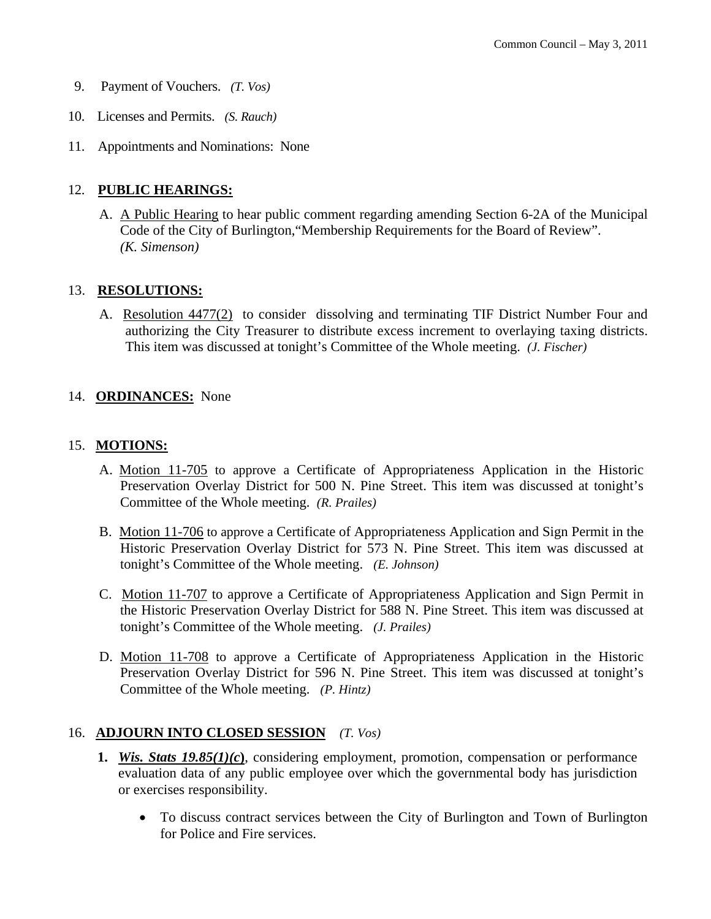- 9. Payment of Vouchers. *(T. Vos)*
- 10. Licenses and Permits. *(S. Rauch)*
- 11. Appointments and Nominations: None

## 12. **PUBLIC HEARINGS:**

A. A Public Hearing to hear public comment regarding amending Section 6-2A of the Municipal Code of the City of Burlington,"Membership Requirements for the Board of Review". *(K. Simenson)*

## 13. **RESOLUTIONS:**

A. Resolution 4477(2) to consider dissolving and terminating TIF District Number Four and authorizing the City Treasurer to distribute excess increment to overlaying taxing districts. This item was discussed at tonight's Committee of the Whole meeting. *(J. Fischer)* 

## 14. **ORDINANCES:** None

### 15. **MOTIONS:**

- A. Motion 11-705 to approve a Certificate of Appropriateness Application in the Historic Preservation Overlay District for 500 N. Pine Street. This item was discussed at tonight's Committee of the Whole meeting. *(R. Prailes)*
- B. Motion 11-706 to approve a Certificate of Appropriateness Application and Sign Permit in the Historic Preservation Overlay District for 573 N. Pine Street. This item was discussed at tonight's Committee of the Whole meeting. *(E. Johnson)*
- C. Motion 11-707 to approve a Certificate of Appropriateness Application and Sign Permit in the Historic Preservation Overlay District for 588 N. Pine Street. This item was discussed at tonight's Committee of the Whole meeting. *(J. Prailes)*
- D. Motion 11-708 to approve a Certificate of Appropriateness Application in the Historic Preservation Overlay District for 596 N. Pine Street. This item was discussed at tonight's Committee of the Whole meeting. *(P. Hintz)*

### 16. **ADJOURN INTO CLOSED SESSION** *(T. Vos)*

- **1.** *Wis. Stats 19.85(1)(c***)**, considering employment, promotion, compensation or performance evaluation data of any public employee over which the governmental body has jurisdiction or exercises responsibility.
	- To discuss contract services between the City of Burlington and Town of Burlington for Police and Fire services.